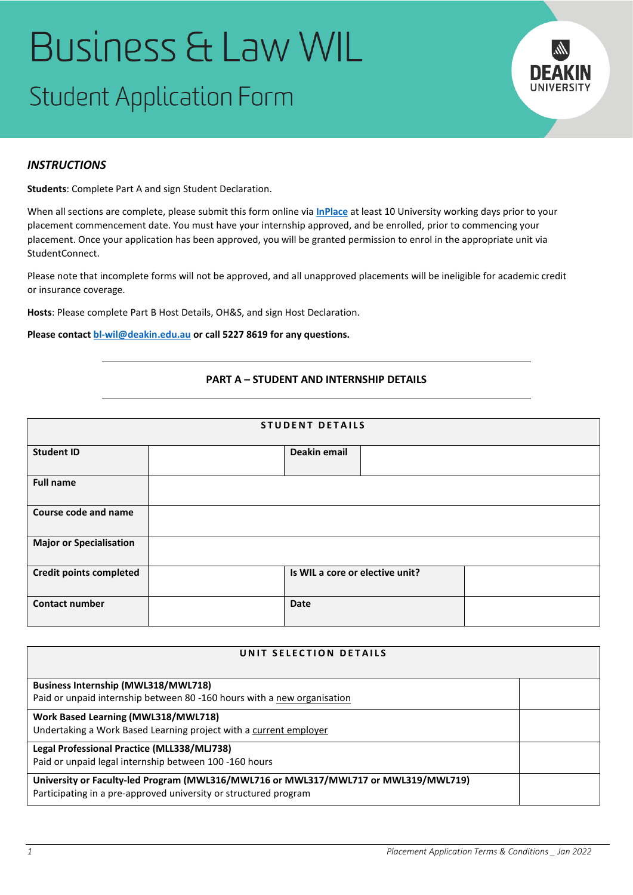# **Business & Law WIL Student Application Form**



# *INSTRUCTIONS*

**Students**: Complete Part A and sign Student Declaration.

When all sections are complete, please submit this form online via **[InPlace](https://placements.deakin.edu.au/inplace/)** at least 10 University working days prior to your placement commencement date. You must have your internship approved, and be enrolled, prior to commencing your placement. Once your application has been approved, you will be granted permission to enrol in the appropriate unit via StudentConnect.

Please note that incomplete forms will not be approved, and all unapproved placements will be ineligible for academic credit or insurance coverage.

**Hosts**: Please complete Part B Host Details, OH&S, and sign Host Declaration.

**Please contact [bl-wil@deakin.edu.au](mailto:bl-wil@deakin.edu.au) or call 5227 8619 for any questions.**

## **PART A – STUDENT AND INTERNSHIP DETAILS**

| <b>STUDENT DETAILS</b>         |  |                                 |  |  |  |
|--------------------------------|--|---------------------------------|--|--|--|
| <b>Student ID</b>              |  | Deakin email                    |  |  |  |
| <b>Full name</b>               |  |                                 |  |  |  |
| Course code and name           |  |                                 |  |  |  |
| <b>Major or Specialisation</b> |  |                                 |  |  |  |
| <b>Credit points completed</b> |  | Is WIL a core or elective unit? |  |  |  |
| <b>Contact number</b>          |  | Date                            |  |  |  |

| UNIT SELECTION DETAILS                                                              |  |  |  |  |
|-------------------------------------------------------------------------------------|--|--|--|--|
|                                                                                     |  |  |  |  |
| <b>Business Internship (MWL318/MWL718)</b>                                          |  |  |  |  |
| Paid or unpaid internship between 80 -160 hours with a new organisation             |  |  |  |  |
| Work Based Learning (MWL318/MWL718)                                                 |  |  |  |  |
| Undertaking a Work Based Learning project with a current employer                   |  |  |  |  |
| Legal Professional Practice (MLL338/MLJ738)                                         |  |  |  |  |
| Paid or unpaid legal internship between 100 -160 hours                              |  |  |  |  |
| University or Faculty-led Program (MWL316/MWL716 or MWL317/MWL717 or MWL319/MWL719) |  |  |  |  |
| Participating in a pre-approved university or structured program                    |  |  |  |  |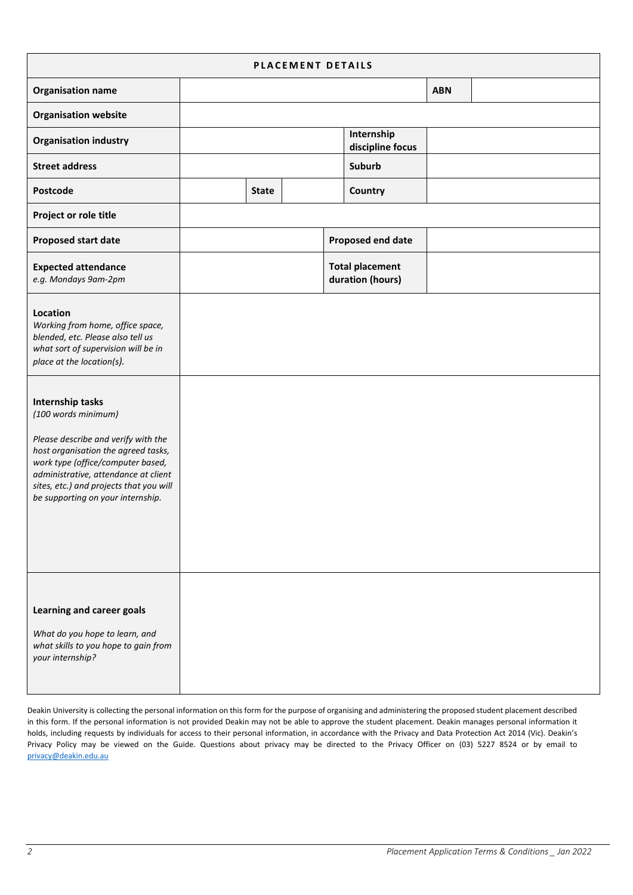| PLACEMENT DETAILS                                                                                                                                                                                                                                                                                                                                                                                                                           |  |              |  |  |                                            |            |  |
|---------------------------------------------------------------------------------------------------------------------------------------------------------------------------------------------------------------------------------------------------------------------------------------------------------------------------------------------------------------------------------------------------------------------------------------------|--|--------------|--|--|--------------------------------------------|------------|--|
| <b>Organisation name</b>                                                                                                                                                                                                                                                                                                                                                                                                                    |  |              |  |  |                                            | <b>ABN</b> |  |
| <b>Organisation website</b>                                                                                                                                                                                                                                                                                                                                                                                                                 |  |              |  |  |                                            |            |  |
| <b>Organisation industry</b>                                                                                                                                                                                                                                                                                                                                                                                                                |  |              |  |  | Internship<br>discipline focus             |            |  |
| <b>Street address</b>                                                                                                                                                                                                                                                                                                                                                                                                                       |  |              |  |  | <b>Suburb</b>                              |            |  |
| Postcode                                                                                                                                                                                                                                                                                                                                                                                                                                    |  | <b>State</b> |  |  | Country                                    |            |  |
| Project or role title                                                                                                                                                                                                                                                                                                                                                                                                                       |  |              |  |  |                                            |            |  |
| <b>Proposed start date</b>                                                                                                                                                                                                                                                                                                                                                                                                                  |  |              |  |  | Proposed end date                          |            |  |
| <b>Expected attendance</b><br>e.g. Mondays 9am-2pm                                                                                                                                                                                                                                                                                                                                                                                          |  |              |  |  | <b>Total placement</b><br>duration (hours) |            |  |
| Location<br>Working from home, office space,<br>blended, etc. Please also tell us<br>what sort of supervision will be in<br>place at the location(s).<br>Internship tasks<br>(100 words minimum)<br>Please describe and verify with the<br>host organisation the agreed tasks,<br>work type (office/computer based,<br>administrative, attendance at client<br>sites, etc.) and projects that you will<br>be supporting on your internship. |  |              |  |  |                                            |            |  |
| Learning and career goals<br>What do you hope to learn, and<br>what skills to you hope to gain from<br>your internship?                                                                                                                                                                                                                                                                                                                     |  |              |  |  |                                            |            |  |

Deakin University is collecting the personal information on this form for the purpose of organising and administering the proposed student placement described in this form. If the personal information is not provided Deakin may not be able to approve the student placement. Deakin manages personal information it holds, including requests by individuals for access to their personal information, in accordance with the Privacy and Data Protection Act 2014 (Vic). Deakin's Privacy Policy may be viewed on the Guide. Questions about privacy may be directed to the Privacy Officer on (03) 5227 8524 or by email to [privacy@deakin.edu.au](mailto:privacy@deakin.edu.au)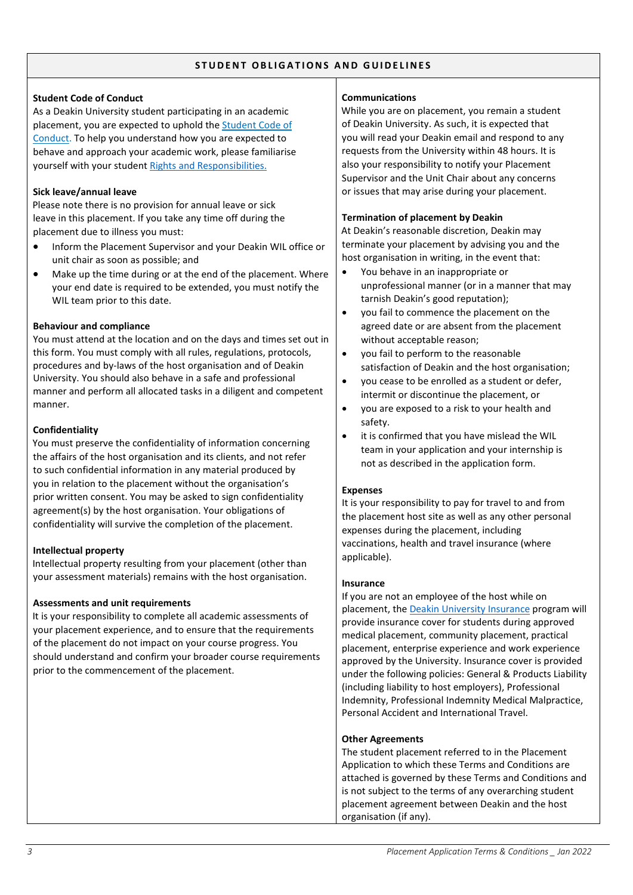#### **STUDENT OBLIGATIONS AND GUIDELINES**

## **Student Code of Conduct**

As a Deakin University student participating in an academic placement, you are expected to uphold the [Student Code of](https://www.deakin.edu.au/students/enrolment-fees-and-money/enrolments/rights-and-responsibilities)  [Conduct.](https://www.deakin.edu.au/students/enrolment-fees-and-money/enrolments/rights-and-responsibilities) To help you understand how you are expected to behave and approach your academic work, please familiarise yourself with your student [Rights and Responsibilities.](https://www.deakin.edu.au/students/enrolment-fees-and-money/enrolments/rights-and-responsibilities)

#### **Sick leave/annual leave**

Please note there is no provision for annual leave or sick leave in this placement. If you take any time off during the placement due to illness you must:

- Inform the Placement Supervisor and your Deakin WIL office or unit chair as soon as possible; and
- Make up the time during or at the end of the placement. Where your end date is required to be extended, you must notify the WIL team prior to this date.

#### **Behaviour and compliance**

You must attend at the location and on the days and times set out in this form. You must comply with all rules, regulations, protocols, procedures and by-laws of the host organisation and of Deakin University. You should also behave in a safe and professional manner and perform all allocated tasks in a diligent and competent manner.

#### **Confidentiality**

You must preserve the confidentiality of information concerning the affairs of the host organisation and its clients, and not refer to such confidential information in any material produced by you in relation to the placement without the organisation's prior written consent. You may be asked to sign confidentiality agreement(s) by the host organisation. Your obligations of confidentiality will survive the completion of the placement.

## **Intellectual property**

Intellectual property resulting from your placement (other than your assessment materials) remains with the host organisation.

## **Assessments and unit requirements**

It is your responsibility to complete all academic assessments of your placement experience, and to ensure that the requirements of the placement do not impact on your course progress. You should understand and confirm your broader course requirements prior to the commencement of the placement.

#### **Communications**

While you are on placement, you remain a student of Deakin University. As such, it is expected that you will read your Deakin email and respond to any requests from the University within 48 hours. It is also your responsibility to notify your Placement Supervisor and the Unit Chair about any concerns or issues that may arise during your placement.

#### **Termination of placement by Deakin**

At Deakin's reasonable discretion, Deakin may terminate your placement by advising you and the host organisation in writing, in the event that:

- You behave in an inappropriate or unprofessional manner (or in a manner that may tarnish Deakin's good reputation);
- you fail to commence the placement on the agreed date or are absent from the placement without acceptable reason;
- you fail to perform to the reasonable satisfaction of Deakin and the host organisation;
- you cease to be enrolled as a student or defer, intermit or discontinue the placement, or
- you are exposed to a risk to your health and safety.
- it is confirmed that you have mislead the WIL team in your application and your internship is not as described in the application form.

#### **Expenses**

It is your responsibility to pay for travel to and from the placement host site as well as any other personal expenses during the placement, including vaccinations, health and travel insurance (where applicable).

#### **Insurance**

If you are not an employee of the host while on placement, th[e Deakin University Insurance](https://www.deakin.edu.au/students/enrolment-fees-and-money/insurance/insurance-for-students-on-placements-or-work-experience) program will provide insurance cover for students during approved medical placement, community placement, practical placement, enterprise experience and work experience approved by the University. Insurance cover is provided under the following policies: General & Products Liability (including liability to host employers), Professional Indemnity, Professional Indemnity Medical Malpractice, Personal Accident and International Travel.

#### **Other Agreements**

The student placement referred to in the Placement Application to which these Terms and Conditions are attached is governed by these Terms and Conditions and is not subject to the terms of any overarching student placement agreement between Deakin and the host organisation (if any).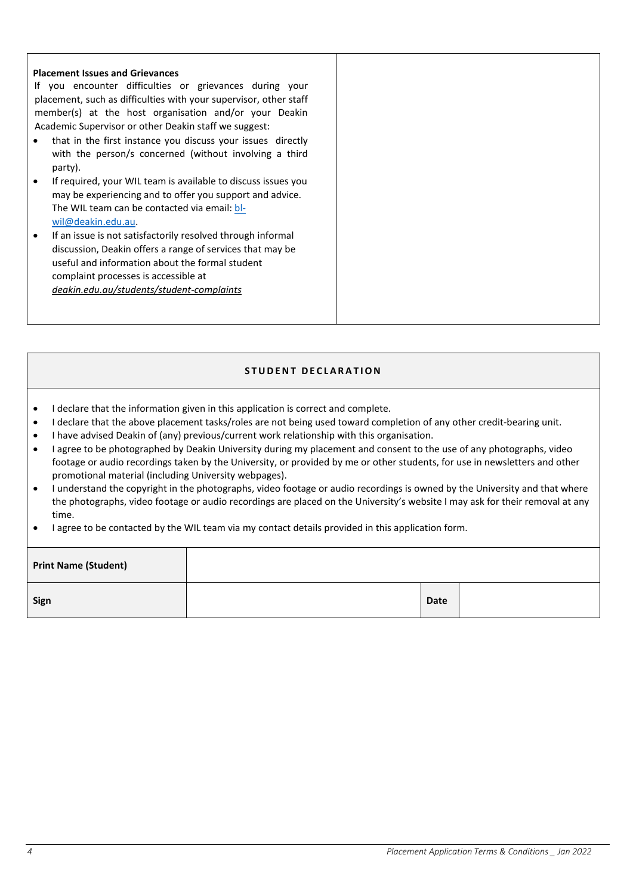#### **Placement Issues and Grievances**

If you encounter difficulties or grievances during your placement, such as difficulties with your supervisor, other staff member(s) at the host organisation and/or your Deakin Academic Supervisor or other Deakin staff we suggest:

- that in the first instance you discuss your issues directly with the person/s concerned (without involving a third party).
- If required, your WIL team is available to discuss issues you may be experiencing and to offer you support and advice. The WIL team can be contacted via email: [bl](mailto:bl-wil@deakin.edu.au)[wil@deakin.edu.au.](mailto:bl-wil@deakin.edu.au)
- If an issue is not satisfactorily resolved through informal discussion, Deakin offers a range of services that may be useful and information about the formal student complaint processes is accessible at *[deakin.edu.au/students/student-complaints](http://www.deakin.edu.au/students/student%C2%ADcomplaints)*

## **STUDENT DECLARATION**

- I declare that the information given in this application is correct and complete.
- I declare that the above placement tasks/roles are not being used toward completion of any other credit-bearing unit.
- I have advised Deakin of (any) previous/current work relationship with this organisation.
- I agree to be photographed by Deakin University during my placement and consent to the use of any photographs, video footage or audio recordings taken by the University, or provided by me or other students, for use in newsletters and other promotional material (including University webpages).
- I understand the copyright in the photographs, video footage or audio recordings is owned by the University and that where the photographs, video footage or audio recordings are placed on the University's website I may ask for their removal at any time.
- I agree to be contacted by the WIL team via my contact details provided in this application form.

| <b>Print Name (Student)</b> |             |  |
|-----------------------------|-------------|--|
| Sign                        | <b>Date</b> |  |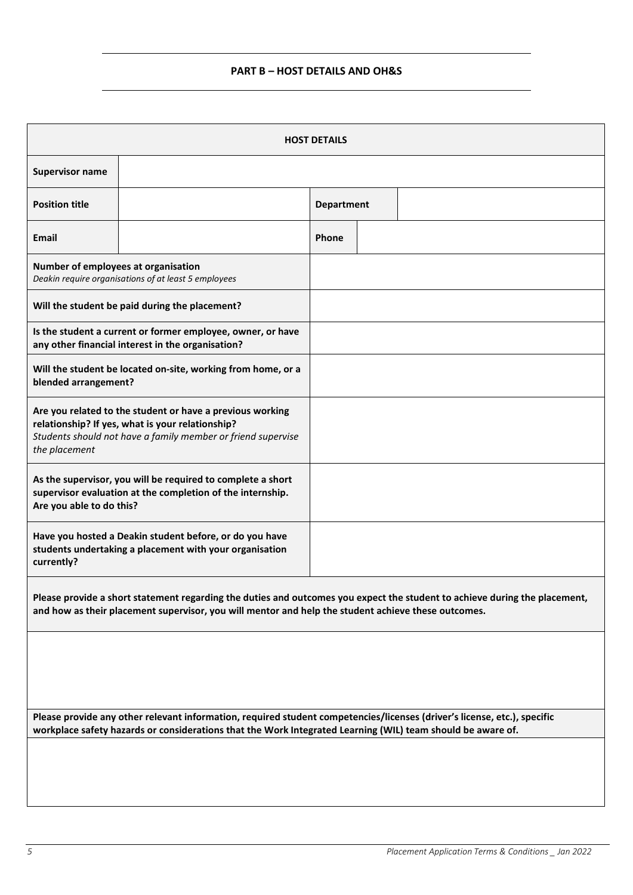# **PART B – HOST DETAILS AND OH&S**

| <b>HOST DETAILS</b>                                                                                                                                                                            |                                                                                                                                                                                                                                         |                   |  |                                                                                                                            |  |
|------------------------------------------------------------------------------------------------------------------------------------------------------------------------------------------------|-----------------------------------------------------------------------------------------------------------------------------------------------------------------------------------------------------------------------------------------|-------------------|--|----------------------------------------------------------------------------------------------------------------------------|--|
| <b>Supervisor name</b>                                                                                                                                                                         |                                                                                                                                                                                                                                         |                   |  |                                                                                                                            |  |
| <b>Position title</b>                                                                                                                                                                          |                                                                                                                                                                                                                                         | <b>Department</b> |  |                                                                                                                            |  |
| <b>Email</b>                                                                                                                                                                                   |                                                                                                                                                                                                                                         | Phone             |  |                                                                                                                            |  |
| Number of employees at organisation                                                                                                                                                            | Deakin require organisations of at least 5 employees                                                                                                                                                                                    |                   |  |                                                                                                                            |  |
|                                                                                                                                                                                                | Will the student be paid during the placement?                                                                                                                                                                                          |                   |  |                                                                                                                            |  |
|                                                                                                                                                                                                | Is the student a current or former employee, owner, or have<br>any other financial interest in the organisation?                                                                                                                        |                   |  |                                                                                                                            |  |
| Will the student be located on-site, working from home, or a<br>blended arrangement?                                                                                                           |                                                                                                                                                                                                                                         |                   |  |                                                                                                                            |  |
| Are you related to the student or have a previous working<br>relationship? If yes, what is your relationship?<br>Students should not have a family member or friend supervise<br>the placement |                                                                                                                                                                                                                                         |                   |  |                                                                                                                            |  |
| Are you able to do this?                                                                                                                                                                       | As the supervisor, you will be required to complete a short<br>supervisor evaluation at the completion of the internship.                                                                                                               |                   |  |                                                                                                                            |  |
| currently?                                                                                                                                                                                     | Have you hosted a Deakin student before, or do you have<br>students undertaking a placement with your organisation                                                                                                                      |                   |  |                                                                                                                            |  |
|                                                                                                                                                                                                | and how as their placement supervisor, you will mentor and help the student achieve these outcomes.                                                                                                                                     |                   |  | Please provide a short statement regarding the duties and outcomes you expect the student to achieve during the placement, |  |
|                                                                                                                                                                                                |                                                                                                                                                                                                                                         |                   |  |                                                                                                                            |  |
|                                                                                                                                                                                                | Please provide any other relevant information, required student competencies/licenses (driver's license, etc.), specific<br>workplace safety hazards or considerations that the Work Integrated Learning (WIL) team should be aware of. |                   |  |                                                                                                                            |  |
|                                                                                                                                                                                                |                                                                                                                                                                                                                                         |                   |  |                                                                                                                            |  |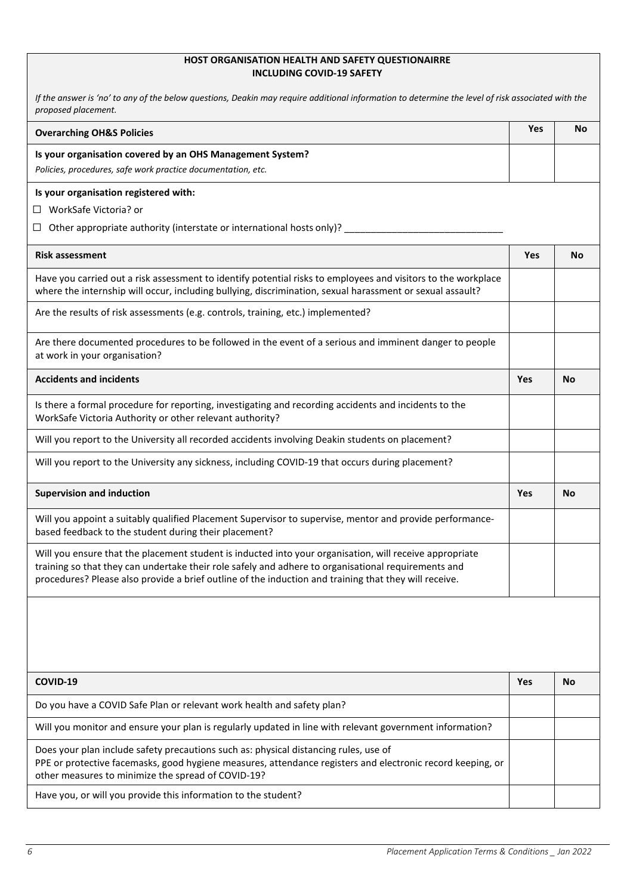## **HOST ORGANISATION HEALTH AND SAFETY QUESTIONAIRRE INCLUDING COVID-19 SAFETY**

| If the answer is 'no' to any of the below questions, Deakin may require additional information to determine the level of risk associated with the<br>proposed placement.                                                                                                                                                |            |           |
|-------------------------------------------------------------------------------------------------------------------------------------------------------------------------------------------------------------------------------------------------------------------------------------------------------------------------|------------|-----------|
| <b>Overarching OH&amp;S Policies</b>                                                                                                                                                                                                                                                                                    | <b>Yes</b> | No        |
| Is your organisation covered by an OHS Management System?<br>Policies, procedures, safe work practice documentation, etc.                                                                                                                                                                                               |            |           |
| Is your organisation registered with:                                                                                                                                                                                                                                                                                   |            |           |
| WorkSafe Victoria? or<br>ப                                                                                                                                                                                                                                                                                              |            |           |
| Other appropriate authority (interstate or international hosts only)? _<br>ш                                                                                                                                                                                                                                            |            |           |
| <b>Risk assessment</b>                                                                                                                                                                                                                                                                                                  | <b>Yes</b> | No        |
| Have you carried out a risk assessment to identify potential risks to employees and visitors to the workplace<br>where the internship will occur, including bullying, discrimination, sexual harassment or sexual assault?                                                                                              |            |           |
| Are the results of risk assessments (e.g. controls, training, etc.) implemented?                                                                                                                                                                                                                                        |            |           |
| Are there documented procedures to be followed in the event of a serious and imminent danger to people<br>at work in your organisation?                                                                                                                                                                                 |            |           |
| <b>Accidents and incidents</b>                                                                                                                                                                                                                                                                                          | Yes        | No        |
| Is there a formal procedure for reporting, investigating and recording accidents and incidents to the<br>WorkSafe Victoria Authority or other relevant authority?                                                                                                                                                       |            |           |
| Will you report to the University all recorded accidents involving Deakin students on placement?                                                                                                                                                                                                                        |            |           |
| Will you report to the University any sickness, including COVID-19 that occurs during placement?                                                                                                                                                                                                                        |            |           |
| <b>Supervision and induction</b>                                                                                                                                                                                                                                                                                        | Yes        | No        |
| Will you appoint a suitably qualified Placement Supervisor to supervise, mentor and provide performance-<br>based feedback to the student during their placement?                                                                                                                                                       |            |           |
| Will you ensure that the placement student is inducted into your organisation, will receive appropriate<br>training so that they can undertake their role safely and adhere to organisational requirements and<br>procedures? Please also provide a brief outline of the induction and training that they will receive. |            |           |
|                                                                                                                                                                                                                                                                                                                         |            |           |
| COVID-19                                                                                                                                                                                                                                                                                                                | Yes        | <b>No</b> |
| Do you have a COVID Safe Plan or relevant work health and safety plan?                                                                                                                                                                                                                                                  |            |           |
| Will you monitor and ensure your plan is regularly updated in line with relevant government information?                                                                                                                                                                                                                |            |           |
| Does your plan include safety precautions such as: physical distancing rules, use of<br>PPE or protective facemasks, good hygiene measures, attendance registers and electronic record keeping, or<br>other measures to minimize the spread of COVID-19?                                                                |            |           |
| Have you, or will you provide this information to the student?                                                                                                                                                                                                                                                          |            |           |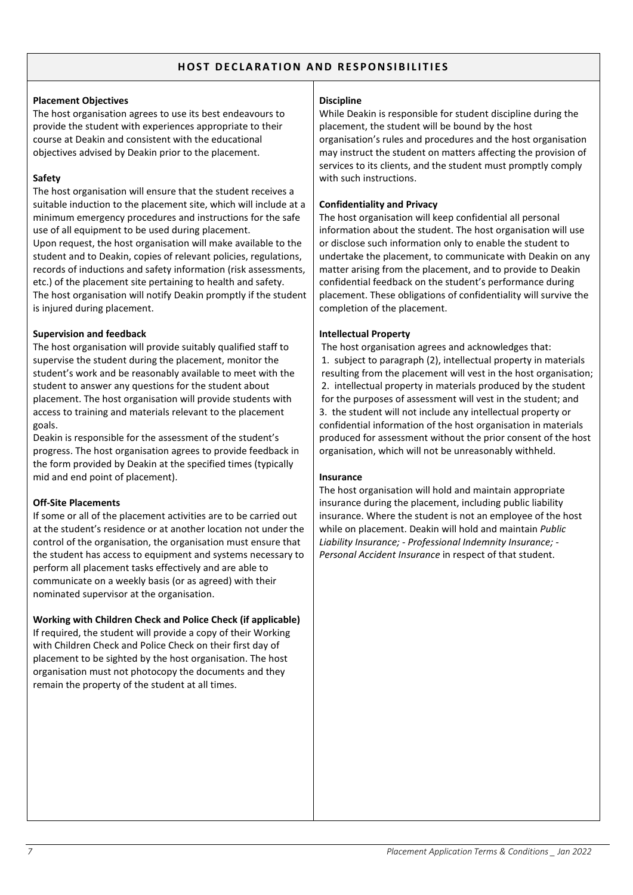## **HOST DECLARATION AND RESPONSIBILITIES**

#### **Placement Objectives**

The host organisation agrees to use its best endeavours to provide the student with experiences appropriate to their course at Deakin and consistent with the educational objectives advised by Deakin prior to the placement.

## **Safety**

The host organisation will ensure that the student receives a suitable induction to the placement site, which will include at a minimum emergency procedures and instructions for the safe use of all equipment to be used during placement.

Upon request, the host organisation will make available to the student and to Deakin, copies of relevant policies, regulations, records of inductions and safety information (risk assessments, etc.) of the placement site pertaining to health and safety. The host organisation will notify Deakin promptly if the student is injured during placement.

## **Supervision and feedback**

The host organisation will provide suitably qualified staff to supervise the student during the placement, monitor the student's work and be reasonably available to meet with the student to answer any questions for the student about placement. The host organisation will provide students with access to training and materials relevant to the placement goals.

Deakin is responsible for the assessment of the student's progress. The host organisation agrees to provide feedback in the form provided by Deakin at the specified times (typically mid and end point of placement).

# **Off-Site Placements**

If some or all of the placement activities are to be carried out at the student's residence or at another location not under the control of the organisation, the organisation must ensure that the student has access to equipment and systems necessary to perform all placement tasks effectively and are able to communicate on a weekly basis (or as agreed) with their nominated supervisor at the organisation.

# **Working with Children Check and Police Check (if applicable)**

If required, the student will provide a copy of their Working with Children Check and Police Check on their first day of placement to be sighted by the host organisation. The host organisation must not photocopy the documents and they remain the property of the student at all times.

## **Discipline**

While Deakin is responsible for student discipline during the placement, the student will be bound by the host organisation's rules and procedures and the host organisation may instruct the student on matters affecting the provision of services to its clients, and the student must promptly comply with such instructions.

## **Confidentiality and Privacy**

The host organisation will keep confidential all personal information about the student. The host organisation will use or disclose such information only to enable the student to undertake the placement, to communicate with Deakin on any matter arising from the placement, and to provide to Deakin confidential feedback on the student's performance during placement. These obligations of confidentiality will survive the completion of the placement.

## **Intellectual Property**

The host organisation agrees and acknowledges that: 1. subject to paragraph (2), intellectual property in materials resulting from the placement will vest in the host organisation; 2. intellectual property in materials produced by the student for the purposes of assessment will vest in the student; and 3. the student will not include any intellectual property or confidential information of the host organisation in materials produced for assessment without the prior consent of the host organisation, which will not be unreasonably withheld.

## **Insurance**

The host organisation will hold and maintain appropriate insurance during the placement, including public liability insurance. Where the student is not an employee of the host while on placement. Deakin will hold and maintain *Public Liability Insurance; - Professional Indemnity Insurance; - Personal Accident Insurance* in respect of that student.